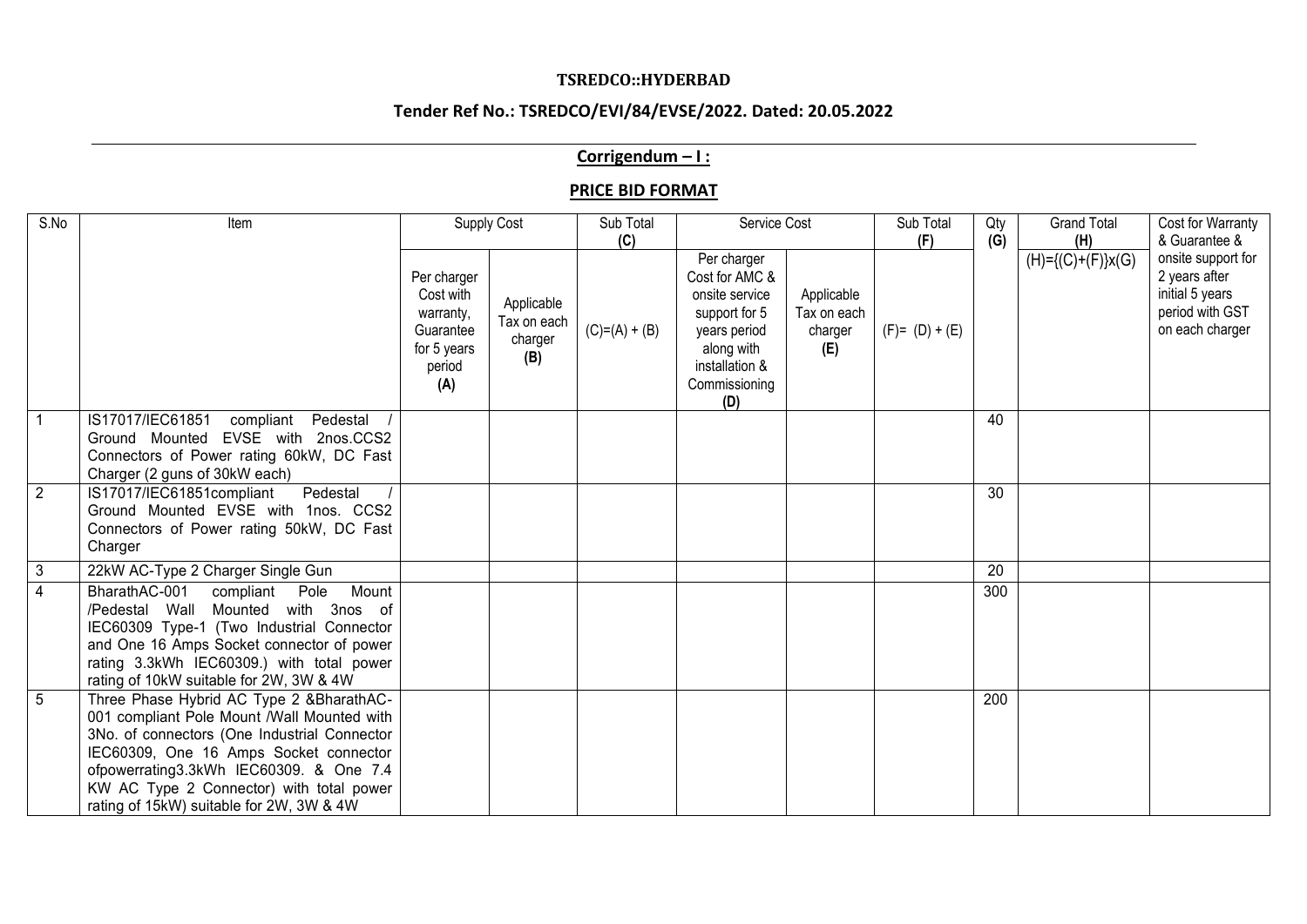#### **TSREDCO::HYDERBAD**

# **Tender Ref No.: TSREDCO/EVI/84/EVSE/2022. Dated: 20.05.2022**

### **Corrigendum – I :**

#### **PRICE BID FORMAT**

| S.No           | Item                                                                                                                                                                                                                                                                                                                 | Supply Cost                                                                        |                                             | Sub Total<br>Service Cost<br>(C) |                                                                                                                                          |                                             | Sub Total<br>Qty<br>(G)<br>(F) | <b>Grand Total</b><br>(H) | Cost for Warranty<br>& Guarantee & |                                                                                              |
|----------------|----------------------------------------------------------------------------------------------------------------------------------------------------------------------------------------------------------------------------------------------------------------------------------------------------------------------|------------------------------------------------------------------------------------|---------------------------------------------|----------------------------------|------------------------------------------------------------------------------------------------------------------------------------------|---------------------------------------------|--------------------------------|---------------------------|------------------------------------|----------------------------------------------------------------------------------------------|
|                |                                                                                                                                                                                                                                                                                                                      | Per charger<br>Cost with<br>warranty,<br>Guarantee<br>for 5 years<br>period<br>(A) | Applicable<br>Tax on each<br>charger<br>(B) | $(C)=(A)+(B)$                    | Per charger<br>Cost for AMC &<br>onsite service<br>support for 5<br>years period<br>along with<br>installation &<br>Commissioning<br>(D) | Applicable<br>Tax on each<br>charger<br>(E) | $(F) = (D) + (E)$              |                           | $(H)={(C)+(F)}x(G)$                | onsite support for<br>2 years after<br>initial 5 years<br>period with GST<br>on each charger |
| $\overline{1}$ | IS17017/IEC61851<br>compliant<br>Pedestal<br>Ground Mounted EVSE with 2nos.CCS2<br>Connectors of Power rating 60kW, DC Fast<br>Charger (2 guns of 30kW each)                                                                                                                                                         |                                                                                    |                                             |                                  |                                                                                                                                          |                                             |                                | 40                        |                                    |                                                                                              |
| $\overline{2}$ | IS17017/IEC61851compliant<br>Pedestal<br>Ground Mounted EVSE with 1nos. CCS2<br>Connectors of Power rating 50kW, DC Fast<br>Charger                                                                                                                                                                                  |                                                                                    |                                             |                                  |                                                                                                                                          |                                             |                                | 30                        |                                    |                                                                                              |
| $\overline{3}$ | 22kW AC-Type 2 Charger Single Gun                                                                                                                                                                                                                                                                                    |                                                                                    |                                             |                                  |                                                                                                                                          |                                             |                                | 20                        |                                    |                                                                                              |
| $\overline{4}$ | BharathAC-001<br>compliant<br>Mount<br>Pole<br>/Pedestal Wall Mounted with 3nos of<br>IEC60309 Type-1 (Two Industrial Connector<br>and One 16 Amps Socket connector of power<br>rating 3.3kWh IEC60309.) with total power<br>rating of 10kW suitable for 2W, 3W & 4W                                                 |                                                                                    |                                             |                                  |                                                                                                                                          |                                             |                                | 300                       |                                    |                                                                                              |
| 5              | Three Phase Hybrid AC Type 2 &BharathAC-<br>001 compliant Pole Mount /Wall Mounted with<br>3No. of connectors (One Industrial Connector<br>IEC60309, One 16 Amps Socket connector<br>ofpowerrating3.3kWh IEC60309. & One 7.4<br>KW AC Type 2 Connector) with total power<br>rating of 15kW) suitable for 2W, 3W & 4W |                                                                                    |                                             |                                  |                                                                                                                                          |                                             |                                | 200                       |                                    |                                                                                              |